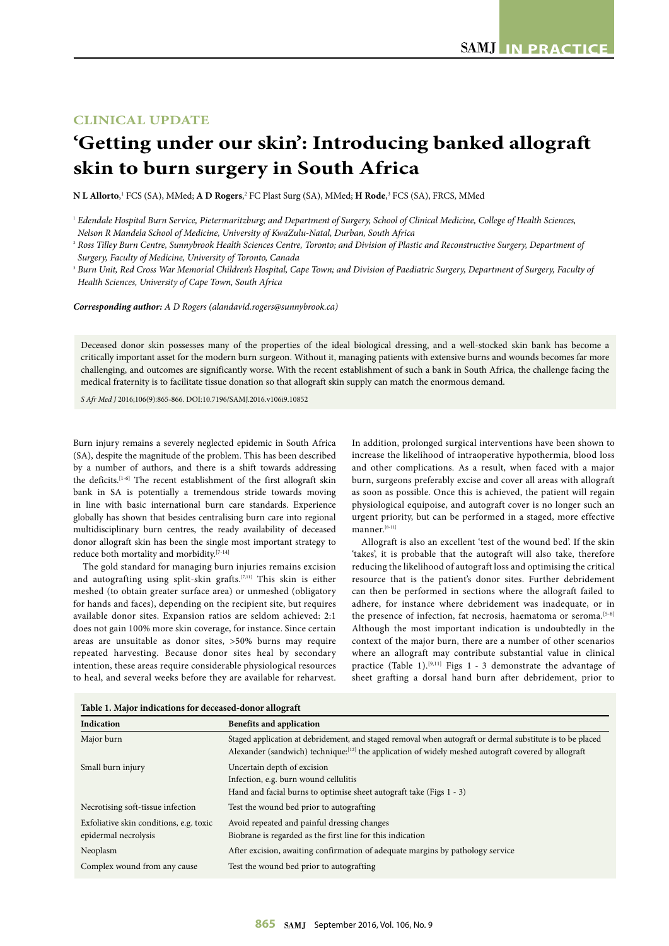## **CLINICAL UPDATE**

## **'Getting under our skin': Introducing banked allograft skin to burn surgery in South Africa**

 $\bf{N}$  **L Allorto**,<sup>1</sup> FCS (SA), MMed;  $\bf{A}$   $\bf{D}$  **Rogers**,<sup>2</sup> FC Plast Surg (SA), MMed;  $\bf{H}$  **Rode**,<sup>3</sup> FCS (SA), FRCS, MMed

*Corresponding author: A D Rogers (alandavid.rogers@sunnybrook.ca)*

Deceased donor skin possesses many of the properties of the ideal biological dressing, and a well-stocked skin bank has become a critically important asset for the modern burn surgeon. Without it, managing patients with extensive burns and wounds becomes far more challenging, and outcomes are significantly worse. With the recent establishment of such a bank in South Africa, the challenge facing the medical fraternity is to facilitate tissue donation so that allograft skin supply can match the enormous demand.

*S Afr Med J* 2016;106(9):865-866. DOI:10.7196/SAMJ.2016.v106i9.10852

Burn injury remains a severely neglected epidemic in South Africa (SA), despite the magnitude of the problem. This has been described by a number of authors, and there is a shift towards addressing the deficits.<sup>[1-6]</sup> The recent establishment of the first allograft skin bank in SA is potentially a tremendous stride towards moving in line with basic international burn care standards. Experience globally has shown that besides centralising burn care into regional multidisciplinary burn centres, the ready availability of deceased donor allograft skin has been the single most important strategy to reduce both mortality and morbidity.[7-14]

The gold standard for managing burn injuries remains excision and autografting using split-skin grafts.<sup>[7,11]</sup> This skin is either meshed (to obtain greater surface area) or unmeshed (obligatory for hands and faces), depending on the recipient site, but requires available donor sites. Expansion ratios are seldom achieved: 2:1 does not gain 100% more skin coverage, for instance. Since certain areas are unsuitable as donor sites, >50% burns may require repeated harvesting. Because donor sites heal by secondary intention, these areas require considerable physiological resources to heal, and several weeks before they are available for reharvest.

In addition, prolonged surgical interventions have been shown to increase the likelihood of intraoperative hypothermia, blood loss and other complications. As a result, when faced with a major burn, surgeons preferably excise and cover all areas with allograft as soon as possible. Once this is achieved, the patient will regain physiological equipoise, and autograft cover is no longer such an urgent priority, but can be performed in a staged, more effective manner.[8-11]

Allograft is also an excellent 'test of the wound bed'. If the skin 'takes', it is probable that the autograft will also take, therefore reducing the likelihood of autograft loss and optimising the critical resource that is the patient's donor sites. Further debridement can then be performed in sections where the allograft failed to adhere, for instance where debridement was inadequate, or in the presence of infection, fat necrosis, haematoma or seroma.<sup>[5-8]</sup> Although the most important indication is undoubtedly in the context of the major burn, there are a number of other scenarios where an allograft may contribute substantial value in clinical practice (Table 1).<sup>[9,11]</sup> Figs 1 - 3 demonstrate the advantage of sheet grafting a dorsal hand burn after debridement, prior to

| Table 1. Major indications for deceased-donor allograft         |                                                                                                                                                                                                                     |
|-----------------------------------------------------------------|---------------------------------------------------------------------------------------------------------------------------------------------------------------------------------------------------------------------|
| Indication                                                      | <b>Benefits and application</b>                                                                                                                                                                                     |
| Major burn                                                      | Staged application at debridement, and staged removal when autograft or dermal substitute is to be placed<br>Alexander (sandwich) technique: $[12]$ the application of widely meshed autograft covered by allograft |
| Small burn injury                                               | Uncertain depth of excision<br>Infection, e.g. burn wound cellulitis<br>Hand and facial burns to optimise sheet autograft take (Figs 1 - 3)                                                                         |
| Necrotising soft-tissue infection                               | Test the wound bed prior to autografting                                                                                                                                                                            |
| Exfoliative skin conditions, e.g. toxic<br>epidermal necrolysis | Avoid repeated and painful dressing changes<br>Biobrane is regarded as the first line for this indication                                                                                                           |
| Neoplasm                                                        | After excision, awaiting confirmation of adequate margins by pathology service                                                                                                                                      |
| Complex wound from any cause                                    | Test the wound bed prior to autografting                                                                                                                                                                            |

<sup>1</sup> *Edendale Hospital Burn Service, Pietermaritzburg; and Department of Surgery, School of Clinical Medicine, College of Health Sciences, Nelson R Mandela School of Medicine, University of KwaZulu-Natal, Durban, South Africa*

<sup>2</sup> *Ross Tilley Burn Centre, Sunnybrook Health Sciences Centre, Toronto; and Division of Plastic and Reconstructive Surgery, Department of Surgery, Faculty of Medicine, University of Toronto, Canada*

<sup>&</sup>lt;sup>3</sup> Burn Unit, Red Cross War Memorial Children's Hospital, Cape Town; and Division of Paediatric Surgery, Department of Surgery, Faculty of *Health Sciences, University of Cape Town, South Africa*